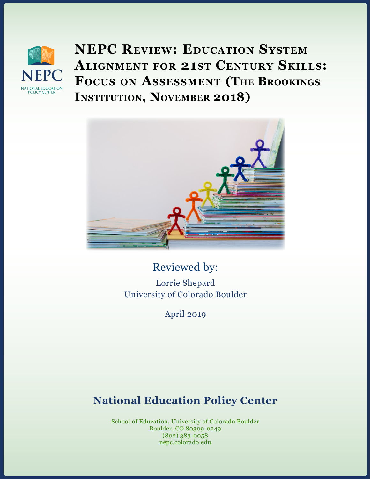

**NEPC Review: Education System Alignment for 21st Century Skills: Focus on Assessment (The Brookings INSTITUTION, NOVEMBER 2018)** 



Reviewed by: Lorrie Shepard University of Colorado Boulder

April 2019

# **National Education Policy Center**

School of Education, University of Colorado Boulder Boulder, CO 80309-0249 (802) 383-0058 nepc.colorado.edu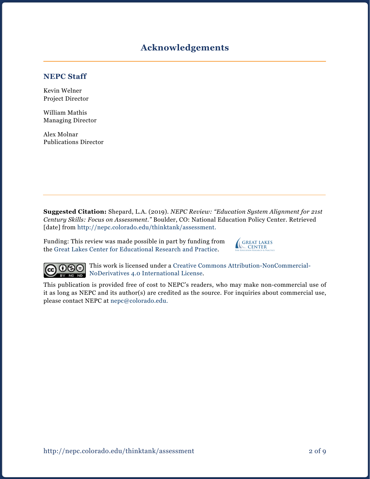# **Acknowledgements**

#### **NEPC Staff**

Kevin Welner Project Director

William Mathis Managing Director

Alex Molnar Publications Director

**Suggested Citation:** Shepard, L.A. (2019). *NEPC Review: "Education System Alignment for 21st Century Skills: Focus on Assessment."* Boulder, CO: National Education Policy Center. Retrieved [date] from <http://nepc.colorado.edu/thinktank/assessment>.

Funding: This review was made possible in part by funding from the [Great Lakes Center for Educational Research and Practice](http://www.greatlakescenter.org).





This work is licensed under a [Creative Commons Attribution-NonCommercial-](https://creativecommons.org/licenses/by-nc-nd/4.0/)[NoDerivatives 4.0 International License](https://creativecommons.org/licenses/by-nc-nd/4.0/).

This publication is provided free of cost to NEPC's readers, who may make non-commercial use of it as long as NEPC and its author(s) are credited as the source. For inquiries about commercial use, please contact NEPC at [nepc@colorado.edu](mailto:nepc%40colorado.edu?subject=).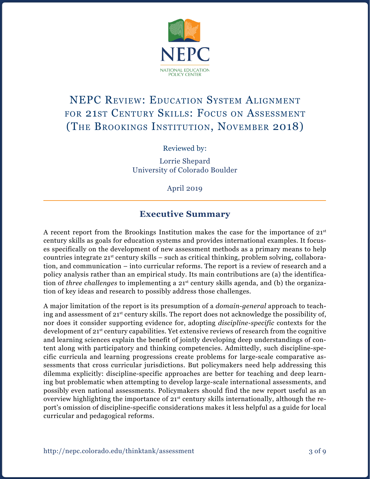

# NEPC Review: Education System Alignment for 21st Century Skills: Focus on Assessment (The Brookings Institution, November 2018)

Reviewed by:

Lorrie Shepard University of Colorado Boulder

April 2019

# **Executive Summary**

A recent report from the Brookings Institution makes the case for the importance of  $21<sup>st</sup>$ century skills as goals for education systems and provides international examples. It focuses specifically on the development of new assessment methods as a primary means to help countries integrate  $21^{st}$  century skills – such as critical thinking, problem solving, collaboration, and communication – into curricular reforms. The report is a review of research and a policy analysis rather than an empirical study. Its main contributions are (a) the identification of *three challenges* to implementing a 21<sup>st</sup> century skills agenda, and (b) the organization of key ideas and research to possibly address those challenges.

A major limitation of the report is its presumption of a *domain-general* approach to teaching and assessment of 21st century skills. The report does not acknowledge the possibility of, nor does it consider supporting evidence for, adopting *discipline-specific* contexts for the development of 21<sup>st</sup> century capabilities. Yet extensive reviews of research from the cognitive and learning sciences explain the benefit of jointly developing deep understandings of content along with participatory and thinking competencies. Admittedly, such discipline-specific curricula and learning progressions create problems for large-scale comparative assessments that cross curricular jurisdictions. But policymakers need help addressing this dilemma explicitly: discipline-specific approaches are better for teaching and deep learning but problematic when attempting to develop large-scale international assessments, and possibly even national assessments. Policymakers should find the new report useful as an overview highlighting the importance of 21<sup>st</sup> century skills internationally, although the report's omission of discipline-specific considerations makes it less helpful as a guide for local curricular and pedagogical reforms.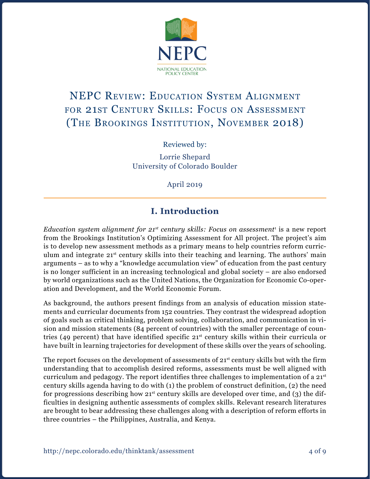

# NEPC Review: Education System Alignment for 21st Century Skills: Focus on Assessment (The Brookings Institution, November 2018)

Reviewed by:

Lorrie Shepard University of Colorado Boulder

April 2019

# **I. Introduction**

*Education system alignment for 21st century skills: Focus on assessment*<sup>1</sup> is a new report from the Brookings Institution's Optimizing Assessment for All project. The project's aim is to develop new assessment methods as a primary means to help countries reform curriculum and integrate  $21<sup>st</sup>$  century skills into their teaching and learning. The authors' main arguments – as to why a "knowledge accumulation view" of education from the past century is no longer sufficient in an increasing technological and global society – are also endorsed by world organizations such as the United Nations, the Organization for Economic Co-operation and Development, and the World Economic Forum.

As background, the authors present findings from an analysis of education mission statements and curricular documents from 152 countries. They contrast the widespread adoption of goals such as critical thinking, problem solving, collaboration, and communication in vision and mission statements (84 percent of countries) with the smaller percentage of countries (49 percent) that have identified specific 21st century skills within their curricula or have built in learning trajectories for development of these skills over the years of schooling.

The report focuses on the development of assessments of  $21<sup>st</sup>$  century skills but with the firm understanding that to accomplish desired reforms, assessments must be well aligned with curriculum and pedagogy. The report identifies three challenges to implementation of a  $21<sup>st</sup>$ century skills agenda having to do with (1) the problem of construct definition, (2) the need for progressions describing how  $21<sup>st</sup>$  century skills are developed over time, and (3) the difficulties in designing authentic assessments of complex skills. Relevant research literatures are brought to bear addressing these challenges along with a description of reform efforts in three countries – the Philippines, Australia, and Kenya.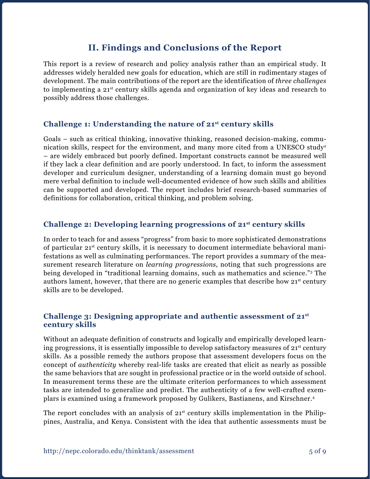## **II. Findings and Conclusions of the Report**

This report is a review of research and policy analysis rather than an empirical study. It addresses widely heralded new goals for education, which are still in rudimentary stages of development. The main contributions of the report are the identification of *three challenges* to implementing a 21st century skills agenda and organization of key ideas and research to possibly address those challenges.

#### **Challenge 1: Understanding the nature of 21st century skills**

Goals – such as critical thinking, innovative thinking, reasoned decision-making, communication skills, respect for the environment, and many more cited from a UNESCO study<sup>2</sup> – are widely embraced but poorly defined. Important constructs cannot be measured well if they lack a clear definition and are poorly understood. In fact, to inform the assessment developer and curriculum designer, understanding of a learning domain must go beyond mere verbal definition to include well-documented evidence of how such skills and abilities can be supported and developed. The report includes brief research-based summaries of definitions for collaboration, critical thinking, and problem solving.

#### **Challenge 2: Developing learning progressions of 21st century skills**

In order to teach for and assess "progress" from basic to more sophisticated demonstrations of particular 21st century skills, it is necessary to document intermediate behavioral manifestations as well as culminating performances. The report provides a summary of the measurement research literature on *learning progressions*, noting that such progressions are being developed in "traditional learning domains, such as mathematics and science."3 The authors lament, however, that there are no generic examples that describe how  $21<sup>st</sup>$  century skills are to be developed.

#### **Challenge 3: Designing appropriate and authentic assessment of 21st century skills**

Without an adequate definition of constructs and logically and empirically developed learning progressions, it is essentially impossible to develop satisfactory measures of  $21<sup>st</sup>$  century skills. As a possible remedy the authors propose that assessment developers focus on the concept of *authenticity* whereby real-life tasks are created that elicit as nearly as possible the same behaviors that are sought in professional practice or in the world outside of school. In measurement terms these are the ultimate criterion performances to which assessment tasks are intended to generalize and predict. The authenticity of a few well-crafted exemplars is examined using a framework proposed by Gulikers, Bastianens, and Kirschner.4

The report concludes with an analysis of  $21<sup>st</sup>$  century skills implementation in the Philippines, Australia, and Kenya. Consistent with the idea that authentic assessments must be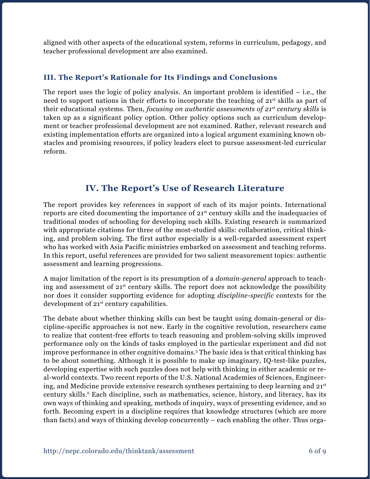aligned with other aspects of the educational system, reforms in curriculum, pedagogy, and teacher professional development are also examined.

#### **III. The Report's Rationale for Its Findings and Conclusions**

The report uses the logic of policy analysis. An important problem is identified  $-$  i.e., the need to support nations in their efforts to incorporate the teaching of 21<sup>st</sup> skills as part of their educational systems. Then, *focusing on authentic assessments of 21st century skills* is taken up as a significant policy option. Other policy options such as curriculum development or teacher professional development are not examined. Rather, relevant research and existing implementation efforts are organized into a logical argument examining known obstacles and promising resources, if policy leaders elect to pursue assessment-led curricular reform.

## **IV. The Report's Use of Research Literature**

The report provides key references in support of each of its major points. International reports are cited documenting the importance of 21st century skills and the inadequacies of traditional modes of schooling for developing such skills. Existing research is summarized with appropriate citations for three of the most-studied skills: collaboration, critical thinking, and problem solving. The first author especially is a well-regarded assessment expert who has worked with Asia Pacific ministries embarked on assessment and teaching reforms. In this report, useful references are provided for two salient measurement topics: authentic assessment and learning progressions.

A major limitation of the report is its presumption of a *domain-general* approach to teaching and assessment of 21st century skills. The report does not acknowledge the possibility nor does it consider supporting evidence for adopting *discipline-specific* contexts for the development of 21<sup>st</sup> century capabilities.

The debate about whether thinking skills can best be taught using domain-general or discipline-specific approaches is not new. Early in the cognitive revolution, researchers came to realize that content-free efforts to teach reasoning and problem-solving skills improved performance only on the kinds of tasks employed in the particular experiment and did not improve performance in other cognitive domains.5 The basic idea is that critical thinking has to be about something. Although it is possible to make up imaginary, IQ-test-like puzzles, developing expertise with such puzzles does not help with thinking in either academic or real-world contexts. Two recent reports of the U.S. National Academies of Sciences, Engineering, and Medicine provide extensive research syntheses pertaining to deep learning and 21st century skills.<sup>6</sup> Each discipline, such as mathematics, science, history, and literacy, has its own ways of thinking and speaking, methods of inquiry, ways of presenting evidence, and so forth. Becoming expert in a discipline requires that knowledge structures (which are more than facts) and ways of thinking develop concurrently – each enabling the other. Thus orga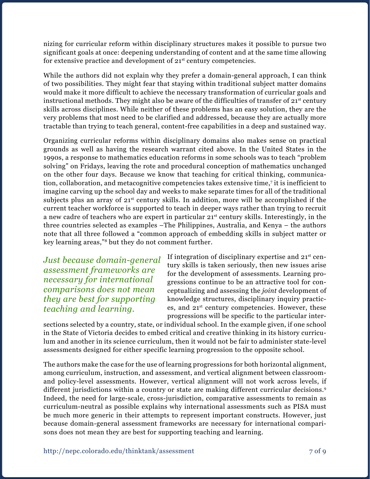nizing for curricular reform within disciplinary structures makes it possible to pursue two significant goals at once: deepening understanding of content and at the same time allowing for extensive practice and development of 21<sup>st</sup> century competencies.

While the authors did not explain why they prefer a domain-general approach, I can think of two possibilities. They might fear that staying within traditional subject matter domains would make it more difficult to achieve the necessary transformation of curricular goals and instructional methods. They might also be aware of the difficulties of transfer of  $21<sup>st</sup>$  century skills across disciplines. While neither of these problems has an easy solution, they are the very problems that most need to be clarified and addressed, because they are actually more tractable than trying to teach general, content-free capabilities in a deep and sustained way.

Organizing curricular reforms within disciplinary domains also makes sense on practical grounds as well as having the research warrant cited above. In the United States in the 1990s, a response to mathematics education reforms in some schools was to teach "problem solving" on Fridays, leaving the rote and procedural conception of mathematics unchanged on the other four days. Because we know that teaching for critical thinking, communication, collaboration, and metacognitive competencies takes extensive time,7 it is inefficient to imagine carving up the school day and weeks to make separate times for all of the traditional subjects plus an array of  $21<sup>st</sup>$  century skills. In addition, more will be accomplished if the current teacher workforce is supported to teach in deeper ways rather than trying to recruit a new cadre of teachers who are expert in particular 21st century skills. Interestingly, in the three countries selected as examples –The Philippines, Australia, and Kenya – the authors note that all three followed a "common approach of embedding skills in subject matter or key learning areas,"8 but they do not comment further.

*Just because domain-general assessment frameworks are necessary for international comparisons does not mean they are best for supporting teaching and learning.*

If integration of disciplinary expertise and  $21<sup>st</sup>$  century skills is taken seriously, then new issues arise for the development of assessments. Learning progressions continue to be an attractive tool for conceptualizing and assessing the *joint* development of knowledge structures, disciplinary inquiry practices, and 21st century competencies. However, these progressions will be specific to the particular inter-

sections selected by a country, state, or individual school. In the example given, if one school in the State of Victoria decides to embed critical and creative thinking in its history curriculum and another in its science curriculum, then it would not be fair to administer state-level assessments designed for either specific learning progression to the opposite school.

The authors make the case for the use of learning progressions for both horizontal alignment, among curriculum, instruction, and assessment, and vertical alignment between classroomand policy-level assessments. However, vertical alignment will not work across levels, if different jurisdictions within a country or state are making different curricular decisions.<sup>9</sup> Indeed, the need for large-scale, cross-jurisdiction, comparative assessments to remain as curriculum-neutral as possible explains why international assessments such as PISA must be much more generic in their attempts to represent important constructs. However, just because domain-general assessment frameworks are necessary for international comparisons does not mean they are best for supporting teaching and learning.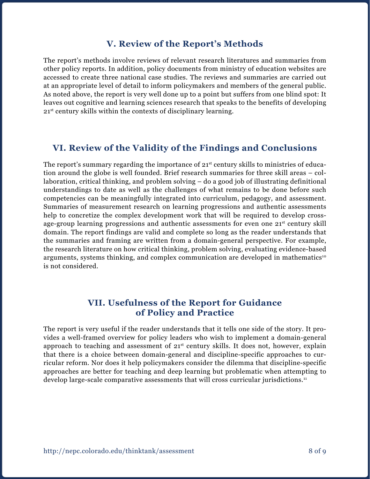### **V. Review of the Report's Methods**

The report's methods involve reviews of relevant research literatures and summaries from other policy reports. In addition, policy documents from ministry of education websites are accessed to create three national case studies. The reviews and summaries are carried out at an appropriate level of detail to inform policymakers and members of the general public. As noted above, the report is very well done up to a point but suffers from one blind spot: It leaves out cognitive and learning sciences research that speaks to the benefits of developing 21st century skills within the contexts of disciplinary learning.

## **VI. Review of the Validity of the Findings and Conclusions**

The report's summary regarding the importance of  $21<sup>st</sup>$  century skills to ministries of education around the globe is well founded. Brief research summaries for three skill areas – collaboration, critical thinking, and problem solving – do a good job of illustrating definitional understandings to date as well as the challenges of what remains to be done before such competencies can be meaningfully integrated into curriculum, pedagogy, and assessment. Summaries of measurement research on learning progressions and authentic assessments help to concretize the complex development work that will be required to develop crossage-group learning progressions and authentic assessments for even one  $21^{st}$  century skill domain. The report findings are valid and complete so long as the reader understands that the summaries and framing are written from a domain-general perspective. For example, the research literature on how critical thinking, problem solving, evaluating evidence-based arguments, systems thinking, and complex communication are developed in mathematics<sup>10</sup> is not considered.

### **VII. Usefulness of the Report for Guidance of Policy and Practice**

The report is very useful if the reader understands that it tells one side of the story. It provides a well-framed overview for policy leaders who wish to implement a domain-general approach to teaching and assessment of  $21^{st}$  century skills. It does not, however, explain that there is a choice between domain-general and discipline-specific approaches to curricular reform. Nor does it help policymakers consider the dilemma that discipline-specific approaches are better for teaching and deep learning but problematic when attempting to develop large-scale comparative assessments that will cross curricular jurisdictions.11